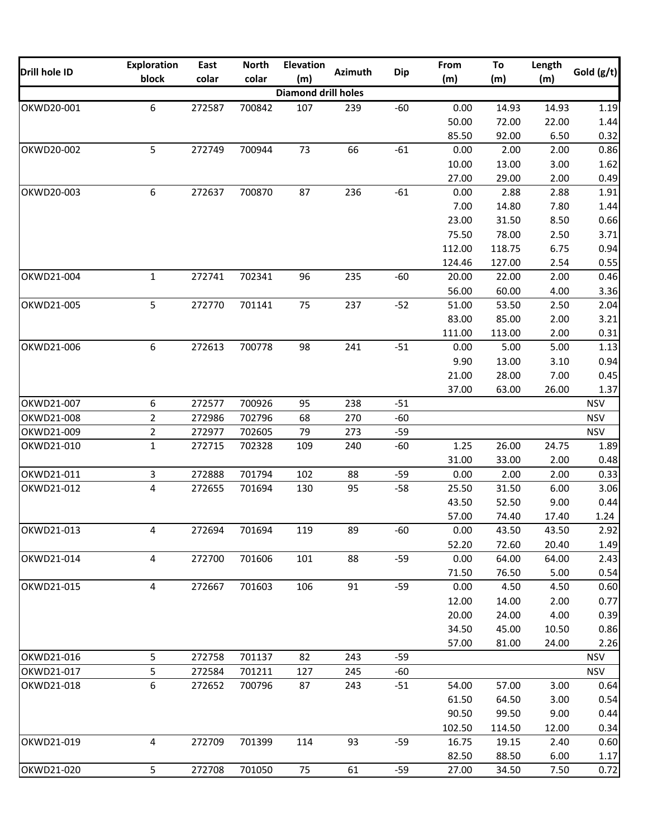| Drill hole ID | <b>Exploration</b> | East   | <b>North</b> | <b>Elevation</b>           |                |            | From           | To              | Length        |            |
|---------------|--------------------|--------|--------------|----------------------------|----------------|------------|----------------|-----------------|---------------|------------|
|               | block              | colar  | colar        | (m)                        | <b>Azimuth</b> | <b>Dip</b> | (m)            | (m)             | (m)           | Gold (g/t) |
|               |                    |        |              | <b>Diamond drill holes</b> |                |            |                |                 |               |            |
| OKWD20-001    | 6                  | 272587 | 700842       | 107                        | 239            | $-60$      | 0.00           | 14.93           | 14.93         | 1.19       |
|               |                    |        |              |                            |                |            | 50.00          | 72.00           | 22.00         | 1.44       |
|               |                    |        |              |                            |                |            | 85.50          | 92.00           | 6.50          | 0.32       |
| OKWD20-002    | 5                  | 272749 | 700944       | 73                         | 66             | $-61$      | 0.00           | 2.00            | 2.00          | 0.86       |
|               |                    |        |              |                            |                |            | 10.00          | 13.00           | 3.00          | 1.62       |
|               |                    |        |              |                            |                |            | 27.00          | 29.00           | 2.00          | 0.49       |
| OKWD20-003    | 6                  | 272637 | 700870       | 87                         | 236            | $-61$      | 0.00           | 2.88            | 2.88          | 1.91       |
|               |                    |        |              |                            |                |            | 7.00           | 14.80           | 7.80          | 1.44       |
|               |                    |        |              |                            |                |            | 23.00          | 31.50           | 8.50          | 0.66       |
|               |                    |        |              |                            |                |            | 75.50          | 78.00           | 2.50          | 3.71       |
|               |                    |        |              |                            |                |            | 112.00         | 118.75          | 6.75          | 0.94       |
|               |                    |        |              |                            |                |            | 124.46         | 127.00          | 2.54          | 0.55       |
| OKWD21-004    | $\mathbf{1}$       | 272741 | 702341       | 96                         | 235            | $-60$      | 20.00          | 22.00           | 2.00          | 0.46       |
|               |                    |        |              |                            |                |            | 56.00          | 60.00           | 4.00          | 3.36       |
| OKWD21-005    | 5                  | 272770 | 701141       | 75                         | 237            | $-52$      | 51.00          | 53.50           | 2.50          | 2.04       |
|               |                    |        |              |                            |                |            | 83.00          | 85.00           | 2.00          | 3.21       |
|               |                    |        |              |                            |                |            | 111.00         | 113.00          | 2.00          | 0.31       |
| OKWD21-006    | 6                  | 272613 | 700778       | 98                         | 241            | $-51$      | 0.00           | 5.00            | 5.00          | 1.13       |
|               |                    |        |              |                            |                |            | 9.90           | 13.00           | 3.10          | 0.94       |
|               |                    |        |              |                            |                |            | 21.00          | 28.00           | 7.00          | 0.45       |
|               |                    |        |              |                            |                |            | 37.00          | 63.00           | 26.00         | 1.37       |
| OKWD21-007    | 6                  | 272577 | 700926       | 95                         | 238            | $-51$      |                |                 |               | <b>NSV</b> |
| OKWD21-008    | $\overline{2}$     | 272986 | 702796       | 68                         | 270            | $-60$      |                |                 |               | <b>NSV</b> |
| OKWD21-009    | $\overline{2}$     | 272977 | 702605       | 79                         | 273            | $-59$      |                |                 |               | <b>NSV</b> |
| OKWD21-010    | $\mathbf{1}$       | 272715 | 702328       | 109                        | 240            | $-60$      | 1.25           | 26.00           | 24.75         | 1.89       |
|               |                    |        |              |                            |                |            | 31.00          | 33.00           | 2.00          | 0.48       |
| OKWD21-011    | 3                  | 272888 | 701794       | 102                        | 88             | $-59$      | 0.00           | 2.00            | 2.00          | 0.33       |
| OKWD21-012    | $\overline{4}$     | 272655 | 701694       | 130                        | 95             | $-58$      | 25.50          | 31.50           | 6.00          | 3.06       |
|               |                    |        |              |                            |                |            | 43.50          | 52.50           | 9.00          | 0.44       |
|               |                    |        |              |                            |                |            | 57.00          | 74.40           | 17.40         | 1.24       |
| OKWD21-013    | 4                  | 272694 | 701694       | 119                        | 89             | $-60$      | 0.00           | 43.50           | 43.50         | 2.92       |
|               |                    |        |              |                            |                |            | 52.20          | 72.60           | 20.40         | 1.49       |
| OKWD21-014    | $\overline{4}$     | 272700 | 701606       | 101                        | 88             | $-59$      | 0.00           | 64.00           | 64.00         | 2.43       |
|               |                    |        |              |                            |                |            | 71.50          | 76.50           | 5.00          | 0.54       |
| OKWD21-015    | 4                  | 272667 | 701603       | 106                        | 91             | $-59$      | 0.00           | 4.50            | 4.50          | 0.60       |
|               |                    |        |              |                            |                |            | 12.00          | 14.00           | 2.00          | 0.77       |
|               |                    |        |              |                            |                |            | 20.00          | 24.00           | 4.00          | 0.39       |
|               |                    |        |              |                            |                |            | 34.50          | 45.00           | 10.50         | 0.86       |
|               |                    |        |              |                            |                |            | 57.00          | 81.00           | 24.00         | 2.26       |
| OKWD21-016    | 5                  | 272758 | 701137       | 82                         | 243            | $-59$      |                |                 |               | <b>NSV</b> |
| OKWD21-017    | 5                  | 272584 | 701211       | 127                        | 245            | $-60$      |                |                 |               | <b>NSV</b> |
| OKWD21-018    | 6                  | 272652 | 700796       | 87                         | 243            | $-51$      | 54.00          | 57.00           | 3.00          | 0.64       |
|               |                    |        |              |                            |                |            | 61.50          | 64.50           | 3.00          | 0.54       |
|               |                    |        |              |                            |                |            | 90.50          |                 |               | 0.44       |
|               |                    |        |              |                            |                |            | 102.50         | 99.50<br>114.50 | 9.00<br>12.00 | 0.34       |
| OKWD21-019    | $\overline{4}$     | 272709 | 701399       | 114                        | 93             | $-59$      |                |                 |               | 0.60       |
|               |                    |        |              |                            |                |            | 16.75<br>82.50 | 19.15<br>88.50  | 2.40<br>6.00  | 1.17       |
|               |                    |        |              |                            |                |            |                |                 |               |            |
| OKWD21-020    | 5                  | 272708 | 701050       | 75                         | 61             | $-59$      | 27.00          | 34.50           | 7.50          | 0.72       |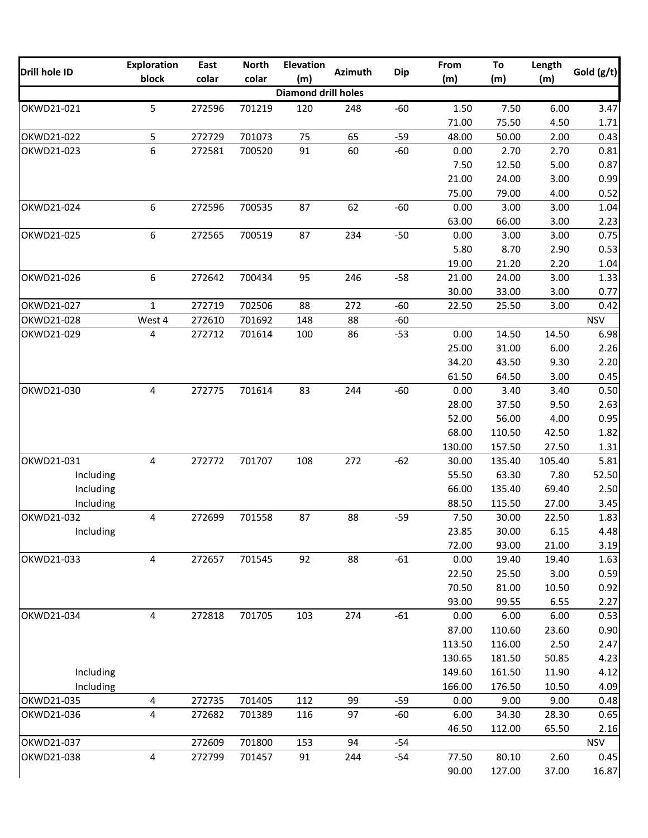|               | <b>Exploration</b> | East   | <b>North</b> | <b>Elevation</b>           |                |            | From   | To     | Length |            |
|---------------|--------------------|--------|--------------|----------------------------|----------------|------------|--------|--------|--------|------------|
| Drill hole ID | block              | colar  | colar        | (m)                        | <b>Azimuth</b> | <b>Dip</b> | (m)    | (m)    | (m)    | Gold (g/t) |
|               |                    |        |              | <b>Diamond drill holes</b> |                |            |        |        |        |            |
| OKWD21-021    | 5                  | 272596 | 701219       | 120                        | 248            | $-60$      | 1.50   | 7.50   | 6.00   | 3.47       |
|               |                    |        |              |                            |                |            | 71.00  | 75.50  | 4.50   | 1.71       |
| OKWD21-022    | 5                  | 272729 | 701073       | 75                         | 65             | $-59$      | 48.00  | 50.00  | 2.00   | 0.43       |
| OKWD21-023    | 6                  | 272581 | 700520       | 91                         | 60             | $-60$      | 0.00   | 2.70   | 2.70   | 0.81       |
|               |                    |        |              |                            |                |            | 7.50   | 12.50  | 5.00   | 0.87       |
|               |                    |        |              |                            |                |            | 21.00  | 24.00  | 3.00   | 0.99       |
|               |                    |        |              |                            |                |            | 75.00  | 79.00  | 4.00   | 0.52       |
| OKWD21-024    | 6                  | 272596 | 700535       | 87                         | 62             | $-60$      | 0.00   | 3.00   | 3.00   | 1.04       |
|               |                    |        |              |                            |                |            | 63.00  | 66.00  | 3.00   | 2.23       |
| OKWD21-025    | 6                  | 272565 | 700519       | 87                         | 234            | $-50$      | 0.00   | 3.00   | 3.00   | 0.75       |
|               |                    |        |              |                            |                |            | 5.80   | 8.70   | 2.90   | 0.53       |
|               |                    |        |              |                            |                |            | 19.00  | 21.20  | 2.20   | 1.04       |
| OKWD21-026    | 6                  | 272642 | 700434       | 95                         | 246            | $-58$      | 21.00  | 24.00  | 3.00   | 1.33       |
|               |                    |        |              |                            |                |            | 30.00  | 33.00  | 3.00   | 0.77       |
| OKWD21-027    | $\mathbf{1}$       | 272719 | 702506       | 88                         | 272            | $-60$      | 22.50  | 25.50  | 3.00   | 0.42       |
| OKWD21-028    | West 4             | 272610 | 701692       | 148                        | 88             | $-60$      |        |        |        | <b>NSV</b> |
| OKWD21-029    | 4                  | 272712 | 701614       | 100                        | 86             | $-53$      | 0.00   | 14.50  | 14.50  | 6.98       |
|               |                    |        |              |                            |                |            | 25.00  | 31.00  | 6.00   | 2.26       |
|               |                    |        |              |                            |                |            | 34.20  | 43.50  | 9.30   | 2.20       |
|               |                    |        |              |                            |                |            | 61.50  | 64.50  | 3.00   | 0.45       |
| OKWD21-030    | 4                  | 272775 | 701614       | 83                         | 244            | $-60$      | 0.00   | 3.40   | 3.40   | 0.50       |
|               |                    |        |              |                            |                |            | 28.00  | 37.50  | 9.50   | 2.63       |
|               |                    |        |              |                            |                |            | 52.00  | 56.00  | 4.00   | 0.95       |
|               |                    |        |              |                            |                |            | 68.00  | 110.50 | 42.50  | 1.82       |
|               |                    |        |              |                            |                |            | 130.00 | 157.50 | 27.50  | 1.31       |
| OKWD21-031    | 4                  | 272772 | 701707       | 108                        | 272            | $-62$      | 30.00  | 135.40 | 105.40 | 5.81       |
| Including     |                    |        |              |                            |                |            | 55.50  | 63.30  | 7.80   | 52.50      |
| Including     |                    |        |              |                            |                |            | 66.00  | 135.40 | 69.40  | 2.50       |
| Including     |                    |        |              |                            |                |            | 88.50  | 115.50 | 27.00  | 3.45       |
| OKWD21-032    | 4                  | 272699 | 701558       | 87                         | 88             | $-59$      | 7.50   | 30.00  | 22.50  | 1.83       |
| Including     |                    |        |              |                            |                |            | 23.85  | 30.00  | 6.15   | 4.48       |
|               |                    |        |              |                            |                |            | 72.00  | 93.00  | 21.00  | 3.19       |
| OKWD21-033    | $\overline{4}$     | 272657 | 701545       | 92                         | 88             | $-61$      | 0.00   | 19.40  | 19.40  | 1.63       |
|               |                    |        |              |                            |                |            | 22.50  | 25.50  | 3.00   | 0.59       |
|               |                    |        |              |                            |                |            | 70.50  | 81.00  | 10.50  | 0.92       |
|               |                    |        |              |                            |                |            | 93.00  | 99.55  | 6.55   | 2.27       |
| OKWD21-034    | $\overline{4}$     | 272818 | 701705       | 103                        | 274            | $-61$      | 0.00   | 6.00   | 6.00   | 0.53       |
|               |                    |        |              |                            |                |            | 87.00  | 110.60 | 23.60  | 0.90       |
|               |                    |        |              |                            |                |            | 113.50 | 116.00 | 2.50   | 2.47       |
|               |                    |        |              |                            |                |            | 130.65 | 181.50 | 50.85  | 4.23       |
| Including     |                    |        |              |                            |                |            | 149.60 | 161.50 | 11.90  | 4.12       |
| Including     |                    |        |              |                            |                |            | 166.00 | 176.50 | 10.50  | 4.09       |
| OKWD21-035    | 4                  | 272735 | 701405       | 112                        | 99             | $-59$      | 0.00   | 9.00   | 9.00   | 0.48       |
| OKWD21-036    | 4                  | 272682 | 701389       | 116                        | 97             | $-60$      | 6.00   | 34.30  | 28.30  | 0.65       |
|               |                    |        |              |                            |                |            | 46.50  | 112.00 | 65.50  | 2.16       |
| OKWD21-037    |                    | 272609 | 701800       | 153                        | 94             | $-54$      |        |        |        | <b>NSV</b> |
| OKWD21-038    | $\overline{4}$     | 272799 | 701457       | 91                         | 244            | $-54$      | 77.50  | 80.10  | 2.60   | 0.45       |
|               |                    |        |              |                            |                |            | 90.00  | 127.00 | 37.00  |            |
|               |                    |        |              |                            |                |            |        |        |        | 16.87      |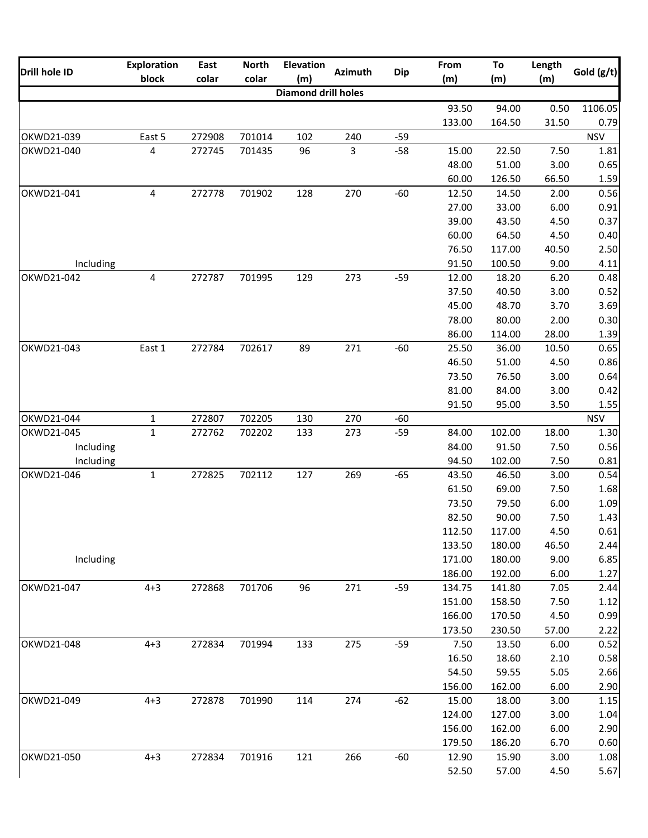| Drill hole ID | <b>Exploration</b> | East   | <b>North</b> | <b>Elevation</b>    | <b>Azimuth</b> | <b>Dip</b> | From   | To     | Length                                                                                                                                                                                                                                                                                                                             | Gold (g/t) |
|---------------|--------------------|--------|--------------|---------------------|----------------|------------|--------|--------|------------------------------------------------------------------------------------------------------------------------------------------------------------------------------------------------------------------------------------------------------------------------------------------------------------------------------------|------------|
|               | block              | colar  | colar        | (m)                 |                |            | (m)    | (m)    | (m)                                                                                                                                                                                                                                                                                                                                |            |
|               |                    |        |              | Diamond drill holes |                |            |        |        |                                                                                                                                                                                                                                                                                                                                    |            |
|               |                    |        |              |                     |                |            | 93.50  | 94.00  | 0.50                                                                                                                                                                                                                                                                                                                               | 1106.05    |
|               |                    |        |              |                     |                |            | 133.00 | 164.50 | 31.50                                                                                                                                                                                                                                                                                                                              | 0.79       |
| OKWD21-039    | East 5             | 272908 | 701014       | 102                 | 240            | $-59$      |        |        |                                                                                                                                                                                                                                                                                                                                    | <b>NSV</b> |
| OKWD21-040    | $\overline{4}$     | 272745 | 701435       | 96                  | $\mathbf{3}$   | $-58$      | 15.00  | 22.50  | 7.50                                                                                                                                                                                                                                                                                                                               | 1.81       |
|               |                    |        |              |                     |                |            | 48.00  | 51.00  | 3.00                                                                                                                                                                                                                                                                                                                               | 0.65       |
|               |                    |        |              |                     |                |            | 60.00  | 126.50 | 66.50                                                                                                                                                                                                                                                                                                                              | 1.59       |
| OKWD21-041    | 4                  | 272778 | 701902       | 128                 | 270            | $-60$      | 12.50  | 14.50  | 2.00                                                                                                                                                                                                                                                                                                                               | 0.56       |
|               |                    |        |              |                     |                |            | 27.00  | 33.00  | 6.00<br>4.50<br>4.50<br>40.50<br>9.00<br>6.20<br>3.00<br>3.70<br>2.00<br>28.00<br>10.50<br>4.50<br>3.00<br>3.00<br>3.50<br>18.00<br>7.50<br>7.50<br>3.00<br>7.50<br>6.00<br>7.50<br>4.50<br>46.50<br>9.00<br>6.00<br>7.05<br>7.50<br>4.50<br>57.00<br>6.00<br>2.10<br>5.05<br>6.00<br>3.00<br>3.00<br>6.00<br>6.70<br>3.00<br>4.50 | 0.91       |
|               |                    |        |              |                     |                |            | 39.00  | 43.50  |                                                                                                                                                                                                                                                                                                                                    | 0.37       |
|               |                    |        |              |                     |                |            | 60.00  | 64.50  |                                                                                                                                                                                                                                                                                                                                    | 0.40       |
|               |                    |        |              |                     |                |            | 76.50  | 117.00 |                                                                                                                                                                                                                                                                                                                                    | 2.50       |
| Including     |                    |        |              |                     |                |            | 91.50  | 100.50 |                                                                                                                                                                                                                                                                                                                                    | 4.11       |
| OKWD21-042    | $\overline{4}$     | 272787 | 701995       | 129                 | 273            | $-59$      | 12.00  | 18.20  |                                                                                                                                                                                                                                                                                                                                    | 0.48       |
|               |                    |        |              |                     |                |            | 37.50  | 40.50  |                                                                                                                                                                                                                                                                                                                                    | 0.52       |
|               |                    |        |              |                     |                |            | 45.00  | 48.70  |                                                                                                                                                                                                                                                                                                                                    | 3.69       |
|               |                    |        |              |                     |                |            | 78.00  | 80.00  |                                                                                                                                                                                                                                                                                                                                    | 0.30       |
|               |                    |        |              |                     |                |            | 86.00  | 114.00 |                                                                                                                                                                                                                                                                                                                                    | 1.39       |
| OKWD21-043    | East 1             | 272784 | 702617       | 89                  | 271            | $-60$      | 25.50  | 36.00  |                                                                                                                                                                                                                                                                                                                                    | 0.65       |
|               |                    |        |              |                     |                |            | 46.50  | 51.00  |                                                                                                                                                                                                                                                                                                                                    | 0.86       |
|               |                    |        |              |                     |                |            | 73.50  | 76.50  |                                                                                                                                                                                                                                                                                                                                    | 0.64       |
|               |                    |        |              |                     |                |            | 81.00  | 84.00  |                                                                                                                                                                                                                                                                                                                                    | 0.42       |
|               |                    |        |              |                     |                |            | 91.50  | 95.00  |                                                                                                                                                                                                                                                                                                                                    | 1.55       |
| OKWD21-044    | $\mathbf{1}$       | 272807 | 702205       | 130                 | 270            | $-60$      |        |        |                                                                                                                                                                                                                                                                                                                                    | <b>NSV</b> |
| OKWD21-045    | $\mathbf{1}$       | 272762 | 702202       | 133                 | 273            | $-59$      | 84.00  | 102.00 |                                                                                                                                                                                                                                                                                                                                    | 1.30       |
| Including     |                    |        |              |                     |                |            | 84.00  | 91.50  |                                                                                                                                                                                                                                                                                                                                    | 0.56       |
| Including     |                    |        |              |                     |                |            | 94.50  | 102.00 |                                                                                                                                                                                                                                                                                                                                    | 0.81       |
| OKWD21-046    | $\mathbf{1}$       | 272825 | 702112       | 127                 | 269            | $-65$      | 43.50  | 46.50  |                                                                                                                                                                                                                                                                                                                                    | 0.54       |
|               |                    |        |              |                     |                |            | 61.50  | 69.00  |                                                                                                                                                                                                                                                                                                                                    | 1.68       |
|               |                    |        |              |                     |                |            | 73.50  | 79.50  |                                                                                                                                                                                                                                                                                                                                    | 1.09       |
|               |                    |        |              |                     |                |            | 82.50  | 90.00  |                                                                                                                                                                                                                                                                                                                                    | 1.43       |
|               |                    |        |              |                     |                |            | 112.50 | 117.00 |                                                                                                                                                                                                                                                                                                                                    | 0.61       |
|               |                    |        |              |                     |                |            | 133.50 | 180.00 |                                                                                                                                                                                                                                                                                                                                    | 2.44       |
| Including     |                    |        |              |                     |                |            | 171.00 | 180.00 |                                                                                                                                                                                                                                                                                                                                    | 6.85       |
|               |                    |        |              |                     |                |            | 186.00 | 192.00 |                                                                                                                                                                                                                                                                                                                                    | 1.27       |
| OKWD21-047    | $4 + 3$            | 272868 | 701706       | 96                  | 271            | $-59$      | 134.75 | 141.80 |                                                                                                                                                                                                                                                                                                                                    | 2.44       |
|               |                    |        |              |                     |                |            | 151.00 | 158.50 |                                                                                                                                                                                                                                                                                                                                    | 1.12       |
|               |                    |        |              |                     |                |            | 166.00 | 170.50 |                                                                                                                                                                                                                                                                                                                                    | 0.99       |
|               |                    |        |              |                     |                |            | 173.50 | 230.50 |                                                                                                                                                                                                                                                                                                                                    | 2.22       |
| OKWD21-048    | $4 + 3$            | 272834 | 701994       | 133                 | 275            | $-59$      | 7.50   | 13.50  |                                                                                                                                                                                                                                                                                                                                    | 0.52       |
|               |                    |        |              |                     |                |            | 16.50  | 18.60  |                                                                                                                                                                                                                                                                                                                                    | 0.58       |
|               |                    |        |              |                     |                |            | 54.50  | 59.55  |                                                                                                                                                                                                                                                                                                                                    | 2.66       |
|               |                    |        |              |                     |                |            | 156.00 | 162.00 |                                                                                                                                                                                                                                                                                                                                    | 2.90       |
| OKWD21-049    | $4 + 3$            | 272878 | 701990       | 114                 | 274            | $-62$      | 15.00  | 18.00  |                                                                                                                                                                                                                                                                                                                                    | 1.15       |
|               |                    |        |              |                     |                |            | 124.00 | 127.00 |                                                                                                                                                                                                                                                                                                                                    | 1.04       |
|               |                    |        |              |                     |                |            | 156.00 | 162.00 |                                                                                                                                                                                                                                                                                                                                    | 2.90       |
|               |                    |        |              |                     |                |            | 179.50 | 186.20 |                                                                                                                                                                                                                                                                                                                                    | 0.60       |
| OKWD21-050    | $4 + 3$            | 272834 | 701916       | 121                 | 266            | $-60$      | 12.90  | 15.90  |                                                                                                                                                                                                                                                                                                                                    | 1.08       |
|               |                    |        |              |                     |                |            | 52.50  | 57.00  |                                                                                                                                                                                                                                                                                                                                    | 5.67       |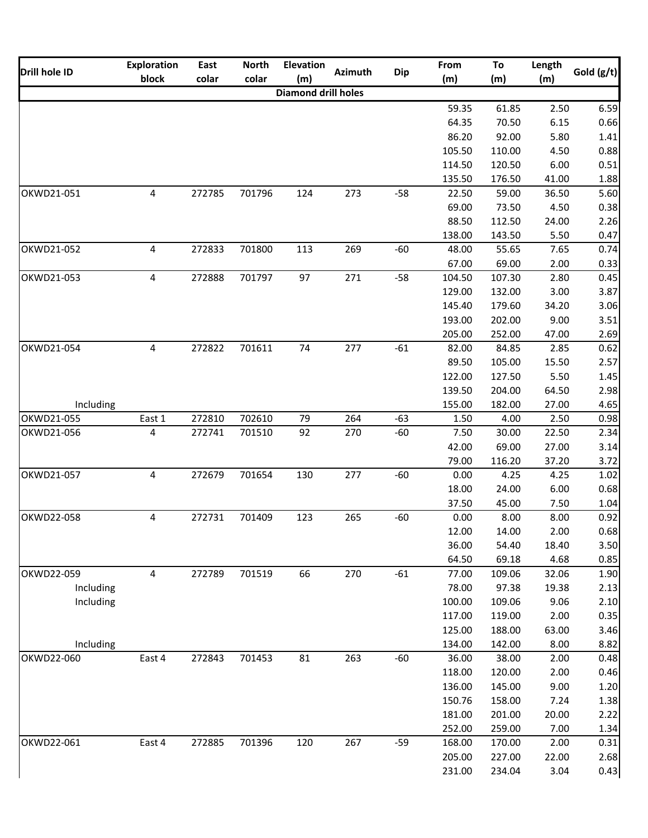| Drill hole ID | <b>Exploration</b> | East   | <b>North</b> | <b>Elevation</b>           | <b>Azimuth</b> | <b>Dip</b> | From   | To     | Length | Gold (g/t) |
|---------------|--------------------|--------|--------------|----------------------------|----------------|------------|--------|--------|--------|------------|
|               | block              | colar  | colar        | (m)                        |                |            | (m)    | (m)    | (m)    |            |
|               |                    |        |              | <b>Diamond drill holes</b> |                |            |        |        |        |            |
|               |                    |        |              |                            |                |            | 59.35  | 61.85  | 2.50   | 6.59       |
|               |                    |        |              |                            |                |            | 64.35  | 70.50  | 6.15   | 0.66       |
|               |                    |        |              |                            |                |            | 86.20  | 92.00  | 5.80   | 1.41       |
|               |                    |        |              |                            |                |            | 105.50 | 110.00 | 4.50   | 0.88       |
|               |                    |        |              |                            |                |            | 114.50 | 120.50 | 6.00   | 0.51       |
|               |                    |        |              |                            |                |            | 135.50 | 176.50 | 41.00  | 1.88       |
| OKWD21-051    | 4                  | 272785 | 701796       | 124                        | 273            | $-58$      | 22.50  | 59.00  | 36.50  | 5.60       |
|               |                    |        |              |                            |                |            | 69.00  | 73.50  | 4.50   | 0.38       |
|               |                    |        |              |                            |                |            | 88.50  | 112.50 | 24.00  | 2.26       |
|               |                    |        |              |                            |                |            | 138.00 | 143.50 | 5.50   | 0.47       |
| OKWD21-052    | $\overline{4}$     | 272833 | 701800       | 113                        | 269            | $-60$      | 48.00  | 55.65  | 7.65   | 0.74       |
|               |                    |        |              |                            |                |            | 67.00  | 69.00  | 2.00   | 0.33       |
| OKWD21-053    | 4                  | 272888 | 701797       | 97                         | 271            | $-58$      | 104.50 | 107.30 | 2.80   | 0.45       |
|               |                    |        |              |                            |                |            | 129.00 | 132.00 | 3.00   | 3.87       |
|               |                    |        |              |                            |                |            | 145.40 | 179.60 | 34.20  | 3.06       |
|               |                    |        |              |                            |                |            | 193.00 | 202.00 | 9.00   | 3.51       |
|               |                    |        |              |                            |                |            | 205.00 | 252.00 | 47.00  | 2.69       |
| OKWD21-054    | 4                  | 272822 | 701611       | 74                         | 277            | $-61$      | 82.00  | 84.85  | 2.85   | 0.62       |
|               |                    |        |              |                            |                |            | 89.50  | 105.00 | 15.50  | 2.57       |
|               |                    |        |              |                            |                |            | 122.00 | 127.50 | 5.50   | 1.45       |
|               |                    |        |              |                            |                |            | 139.50 | 204.00 | 64.50  | 2.98       |
|               |                    |        |              |                            |                |            |        |        |        |            |
| Including     |                    |        |              |                            |                |            | 155.00 | 182.00 | 27.00  | 4.65       |
| OKWD21-055    | East 1             | 272810 | 702610       | 79                         | 264            | $-63$      | 1.50   | 4.00   | 2.50   | 0.98       |
| OKWD21-056    | 4                  | 272741 | 701510       | 92                         | 270            | $-60$      | 7.50   | 30.00  | 22.50  | 2.34       |
|               |                    |        |              |                            |                |            | 42.00  | 69.00  | 27.00  | 3.14       |
|               |                    |        |              |                            |                |            | 79.00  | 116.20 | 37.20  | 3.72       |
| OKWD21-057    | $\overline{4}$     | 272679 | 701654       | 130                        | 277            | $-60$      | 0.00   | 4.25   | 4.25   | 1.02       |
|               |                    |        |              |                            |                |            | 18.00  | 24.00  | 6.00   | 0.68       |
|               |                    |        |              |                            |                |            | 37.50  | 45.00  | 7.50   | 1.04       |
| OKWD22-058    | $\overline{4}$     | 272731 | 701409       | 123                        | 265            | $-60$      | 0.00   | 8.00   | 8.00   | 0.92       |
|               |                    |        |              |                            |                |            | 12.00  | 14.00  | 2.00   | 0.68       |
|               |                    |        |              |                            |                |            | 36.00  | 54.40  | 18.40  | 3.50       |
|               |                    |        |              |                            |                |            | 64.50  | 69.18  | 4.68   | 0.85       |
| OKWD22-059    | $\overline{4}$     | 272789 | 701519       | 66                         | 270            | $-61$      | 77.00  | 109.06 | 32.06  | 1.90       |
| Including     |                    |        |              |                            |                |            | 78.00  | 97.38  | 19.38  | 2.13       |
| Including     |                    |        |              |                            |                |            | 100.00 | 109.06 | 9.06   | 2.10       |
|               |                    |        |              |                            |                |            | 117.00 | 119.00 | 2.00   | 0.35       |
|               |                    |        |              |                            |                |            | 125.00 | 188.00 | 63.00  | 3.46       |
| Including     |                    |        |              |                            |                |            | 134.00 | 142.00 | 8.00   | 8.82       |
| OKWD22-060    | East 4             | 272843 | 701453       | 81                         | 263            | $-60$      | 36.00  | 38.00  | 2.00   | 0.48       |
|               |                    |        |              |                            |                |            | 118.00 | 120.00 | 2.00   | 0.46       |
|               |                    |        |              |                            |                |            | 136.00 | 145.00 | 9.00   | 1.20       |
|               |                    |        |              |                            |                |            | 150.76 | 158.00 | 7.24   | 1.38       |
|               |                    |        |              |                            |                |            | 181.00 | 201.00 | 20.00  | 2.22       |
|               |                    |        |              |                            |                |            | 252.00 | 259.00 | 7.00   | 1.34       |
| OKWD22-061    | East 4             | 272885 | 701396       | 120                        | 267            | $-59$      | 168.00 | 170.00 | 2.00   | 0.31       |
|               |                    |        |              |                            |                |            | 205.00 | 227.00 | 22.00  | 2.68       |
|               |                    |        |              |                            |                |            | 231.00 | 234.04 | 3.04   | 0.43       |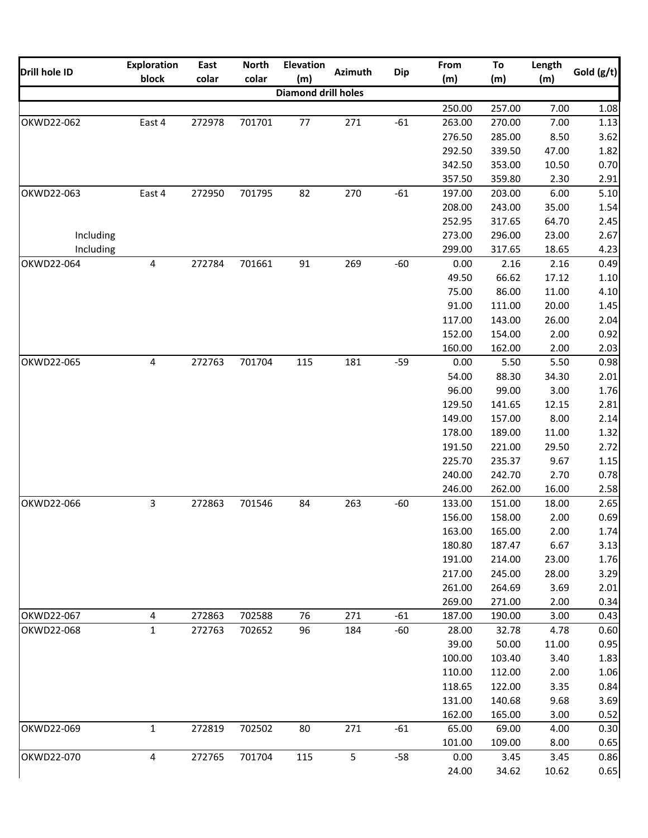|               | <b>Exploration</b> | East   | <b>North</b> | <b>Elevation</b>           |                |            | From   | To     | Length                                                                                                                                                                                                                                                                                                                                                                                                         |            |
|---------------|--------------------|--------|--------------|----------------------------|----------------|------------|--------|--------|----------------------------------------------------------------------------------------------------------------------------------------------------------------------------------------------------------------------------------------------------------------------------------------------------------------------------------------------------------------------------------------------------------------|------------|
| Drill hole ID | block              | colar  | colar        | (m)                        | <b>Azimuth</b> | <b>Dip</b> | (m)    | (m)    | (m)<br>7.00<br>7.00<br>8.50<br>47.00<br>10.50<br>2.30<br>6.00<br>35.00<br>64.70<br>23.00<br>18.65<br>2.16<br>17.12<br>11.00<br>20.00<br>26.00<br>2.00<br>2.00<br>5.50<br>34.30<br>3.00<br>12.15<br>8.00<br>11.00<br>29.50<br>9.67<br>2.70<br>16.00<br>18.00<br>2.00<br>2.00<br>6.67<br>23.00<br>28.00<br>3.69<br>2.00<br>3.00<br>4.78<br>11.00<br>3.40<br>2.00<br>3.35<br>9.68<br>3.00<br>4.00<br>8.00<br>3.45 | Gold (g/t) |
|               |                    |        |              | <b>Diamond drill holes</b> |                |            |        |        |                                                                                                                                                                                                                                                                                                                                                                                                                |            |
|               |                    |        |              |                            |                |            | 250.00 | 257.00 |                                                                                                                                                                                                                                                                                                                                                                                                                | 1.08       |
| OKWD22-062    | East 4             | 272978 | 701701       | 77                         | 271            | $-61$      | 263.00 | 270.00 |                                                                                                                                                                                                                                                                                                                                                                                                                | 1.13       |
|               |                    |        |              |                            |                |            | 276.50 | 285.00 |                                                                                                                                                                                                                                                                                                                                                                                                                | 3.62       |
|               |                    |        |              |                            |                |            | 292.50 | 339.50 |                                                                                                                                                                                                                                                                                                                                                                                                                | 1.82       |
|               |                    |        |              |                            |                |            | 342.50 | 353.00 |                                                                                                                                                                                                                                                                                                                                                                                                                | 0.70       |
|               |                    |        |              |                            |                |            | 357.50 | 359.80 |                                                                                                                                                                                                                                                                                                                                                                                                                | 2.91       |
| OKWD22-063    | East 4             | 272950 | 701795       | 82                         | 270            | $-61$      | 197.00 | 203.00 |                                                                                                                                                                                                                                                                                                                                                                                                                | 5.10       |
|               |                    |        |              |                            |                |            | 208.00 | 243.00 |                                                                                                                                                                                                                                                                                                                                                                                                                | 1.54       |
|               |                    |        |              |                            |                |            | 252.95 | 317.65 |                                                                                                                                                                                                                                                                                                                                                                                                                | 2.45       |
| Including     |                    |        |              |                            |                |            | 273.00 | 296.00 |                                                                                                                                                                                                                                                                                                                                                                                                                | 2.67       |
| Including     |                    |        |              |                            |                |            | 299.00 | 317.65 |                                                                                                                                                                                                                                                                                                                                                                                                                | 4.23       |
| OKWD22-064    | 4                  | 272784 | 701661       | 91                         | 269            | $-60$      | 0.00   | 2.16   |                                                                                                                                                                                                                                                                                                                                                                                                                | 0.49       |
|               |                    |        |              |                            |                |            | 49.50  | 66.62  |                                                                                                                                                                                                                                                                                                                                                                                                                | $1.10\,$   |
|               |                    |        |              |                            |                |            | 75.00  | 86.00  |                                                                                                                                                                                                                                                                                                                                                                                                                | 4.10       |
|               |                    |        |              |                            |                |            | 91.00  | 111.00 |                                                                                                                                                                                                                                                                                                                                                                                                                | 1.45       |
|               |                    |        |              |                            |                |            | 117.00 | 143.00 |                                                                                                                                                                                                                                                                                                                                                                                                                | 2.04       |
|               |                    |        |              |                            |                |            | 152.00 | 154.00 |                                                                                                                                                                                                                                                                                                                                                                                                                | 0.92       |
|               |                    |        |              |                            |                |            | 160.00 | 162.00 |                                                                                                                                                                                                                                                                                                                                                                                                                | 2.03       |
|               | $\overline{4}$     |        |              |                            |                |            |        |        |                                                                                                                                                                                                                                                                                                                                                                                                                |            |
| OKWD22-065    |                    | 272763 | 701704       | 115                        | 181            | $-59$      | 0.00   | 5.50   |                                                                                                                                                                                                                                                                                                                                                                                                                | 0.98       |
|               |                    |        |              |                            |                |            | 54.00  | 88.30  |                                                                                                                                                                                                                                                                                                                                                                                                                | 2.01       |
|               |                    |        |              |                            |                |            | 96.00  | 99.00  |                                                                                                                                                                                                                                                                                                                                                                                                                | 1.76       |
|               |                    |        |              |                            |                |            | 129.50 | 141.65 |                                                                                                                                                                                                                                                                                                                                                                                                                | 2.81       |
|               |                    |        |              |                            |                |            | 149.00 | 157.00 |                                                                                                                                                                                                                                                                                                                                                                                                                | 2.14       |
|               |                    |        |              |                            |                |            | 178.00 | 189.00 |                                                                                                                                                                                                                                                                                                                                                                                                                | 1.32       |
|               |                    |        |              |                            |                |            | 191.50 | 221.00 |                                                                                                                                                                                                                                                                                                                                                                                                                | 2.72       |
|               |                    |        |              |                            |                |            | 225.70 | 235.37 |                                                                                                                                                                                                                                                                                                                                                                                                                | 1.15       |
|               |                    |        |              |                            |                |            | 240.00 | 242.70 |                                                                                                                                                                                                                                                                                                                                                                                                                | 0.78       |
|               |                    |        |              |                            |                |            | 246.00 | 262.00 |                                                                                                                                                                                                                                                                                                                                                                                                                | 2.58       |
| OKWD22-066    | 3                  | 272863 | 701546       | 84                         | 263            | $-60$      | 133.00 | 151.00 |                                                                                                                                                                                                                                                                                                                                                                                                                | 2.65       |
|               |                    |        |              |                            |                |            | 156.00 | 158.00 |                                                                                                                                                                                                                                                                                                                                                                                                                | 0.69       |
|               |                    |        |              |                            |                |            | 163.00 | 165.00 |                                                                                                                                                                                                                                                                                                                                                                                                                | 1.74       |
|               |                    |        |              |                            |                |            | 180.80 | 187.47 |                                                                                                                                                                                                                                                                                                                                                                                                                | 3.13       |
|               |                    |        |              |                            |                |            | 191.00 | 214.00 |                                                                                                                                                                                                                                                                                                                                                                                                                | 1.76       |
|               |                    |        |              |                            |                |            | 217.00 | 245.00 |                                                                                                                                                                                                                                                                                                                                                                                                                | 3.29       |
|               |                    |        |              |                            |                |            | 261.00 | 264.69 |                                                                                                                                                                                                                                                                                                                                                                                                                | 2.01       |
|               |                    |        |              |                            |                |            | 269.00 | 271.00 |                                                                                                                                                                                                                                                                                                                                                                                                                | 0.34       |
| OKWD22-067    | 4                  | 272863 | 702588       | 76                         | 271            | $-61$      | 187.00 | 190.00 |                                                                                                                                                                                                                                                                                                                                                                                                                | 0.43       |
| OKWD22-068    | $\mathbf{1}$       | 272763 | 702652       | 96                         | 184            | -60        | 28.00  | 32.78  |                                                                                                                                                                                                                                                                                                                                                                                                                | 0.60       |
|               |                    |        |              |                            |                |            | 39.00  | 50.00  |                                                                                                                                                                                                                                                                                                                                                                                                                | 0.95       |
|               |                    |        |              |                            |                |            | 100.00 | 103.40 |                                                                                                                                                                                                                                                                                                                                                                                                                | 1.83       |
|               |                    |        |              |                            |                |            | 110.00 | 112.00 |                                                                                                                                                                                                                                                                                                                                                                                                                | 1.06       |
|               |                    |        |              |                            |                |            | 118.65 | 122.00 |                                                                                                                                                                                                                                                                                                                                                                                                                | 0.84       |
|               |                    |        |              |                            |                |            | 131.00 | 140.68 |                                                                                                                                                                                                                                                                                                                                                                                                                | 3.69       |
|               |                    |        |              |                            |                |            | 162.00 | 165.00 |                                                                                                                                                                                                                                                                                                                                                                                                                | 0.52       |
| OKWD22-069    | $\mathbf{1}$       | 272819 | 702502       | 80                         | 271            | $-61$      | 65.00  | 69.00  |                                                                                                                                                                                                                                                                                                                                                                                                                | 0.30       |
|               |                    |        |              |                            |                |            | 101.00 | 109.00 |                                                                                                                                                                                                                                                                                                                                                                                                                | 0.65       |
| OKWD22-070    | 4                  | 272765 | 701704       | 115                        | 5              | $-58$      | 0.00   | 3.45   |                                                                                                                                                                                                                                                                                                                                                                                                                | 0.86       |
|               |                    |        |              |                            |                |            | 24.00  | 34.62  | 10.62                                                                                                                                                                                                                                                                                                                                                                                                          | 0.65       |